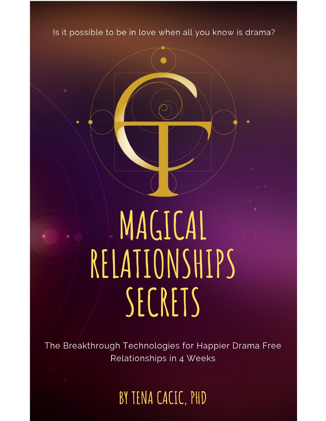

The Breakthrough Technologies for Happier Drama Free Relationships in 4 Weeks

BY TENA CACIC, PHD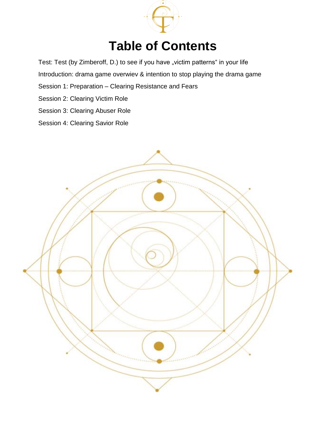

# **Table of Contents**

Test: Test (by Zimberoff, D.) to see if you have "victim patterns" in your life

Introduction: drama game overwiev & intention to stop playing the drama game

- Session 1: Preparation Clearing Resistance and Fears
- Session 2: Clearing Victim Role
- Session 3: Clearing Abuser Role
- Session 4: Clearing Savior Role

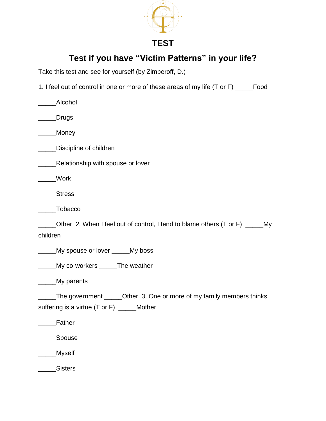

### **TEST**

**Test if you have "Victim Patterns" in your life?** 

Take this test and see for yourself (by Zimberoff, D.)

1. I feel out of control in one or more of these areas of my life (T or F) \_\_\_\_\_Food

| Alcohol                                                                                                            |
|--------------------------------------------------------------------------------------------------------------------|
| <b>Drugs</b>                                                                                                       |
| Money                                                                                                              |
| Discipline of children                                                                                             |
| Relationship with spouse or lover                                                                                  |
| Work                                                                                                               |
| <b>Stress</b>                                                                                                      |
| Tobacco                                                                                                            |
| Other 2. When I feel out of control, I tend to blame others $(T \text{ or } F)$ ______My<br>children               |
| My spouse or lover _____My boss                                                                                    |
| My co-workers _____The weather                                                                                     |
| My parents                                                                                                         |
| The government _____Other 3. One or more of my family members thinks<br>suffering is a virtue (T or F) _____Mother |
| Father                                                                                                             |
| Spouse                                                                                                             |
| Myself                                                                                                             |
| Sisters                                                                                                            |
|                                                                                                                    |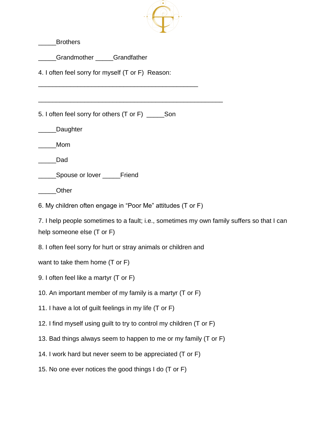

\_\_\_\_\_Brothers

\_\_\_\_\_Grandmother \_\_\_\_\_Grandfather

4. I often feel sorry for myself (T or F) Reason:

\_\_\_\_\_\_\_\_\_\_\_\_\_\_\_\_\_\_\_\_\_\_\_\_\_\_\_\_\_\_\_\_\_\_\_\_\_\_\_\_\_\_\_\_\_

\_\_\_\_\_\_\_\_\_\_\_\_\_\_\_\_\_\_\_\_\_\_\_\_\_\_\_\_\_\_\_\_\_\_\_\_\_\_\_\_\_\_\_\_\_\_\_\_\_\_\_\_

5. I often feel sorry for others (T or F) \_\_\_\_\_Son

\_\_\_\_\_Mom

\_\_\_\_\_Dad

**Spouse or lover \_\_\_\_\_\_Friend** 

\_\_\_\_\_Other

6. My children often engage in "Poor Me" attitudes (T or F)

7. I help people sometimes to a fault; i.e., sometimes my own family suffers so that I can help someone else (T or F)

8. I often feel sorry for hurt or stray animals or children and

want to take them home (T or F)

- 9. I often feel like a martyr (T or F)
- 10. An important member of my family is a martyr (T or F)
- 11. I have a lot of guilt feelings in my life (T or F)
- 12. I find myself using guilt to try to control my children (T or F)
- 13. Bad things always seem to happen to me or my family (T or F)
- 14. I work hard but never seem to be appreciated (T or F)
- 15. No one ever notices the good things I do (T or F)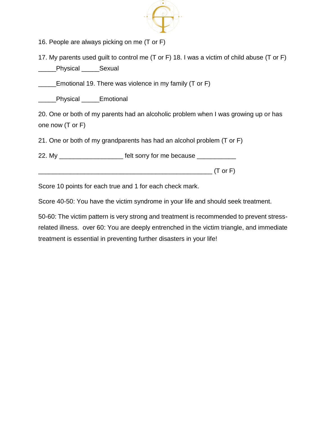

16. People are always picking on me (T or F)

17. My parents used guilt to control me (T or F) 18. I was a victim of child abuse (T or F) \_\_\_\_\_Physical \_\_\_\_\_Sexual

**E** Emotional 19. There was violence in my family (T or F)

\_\_\_\_\_Physical \_\_\_\_\_Emotional

20. One or both of my parents had an alcoholic problem when I was growing up or has one now (T or F)

21. One or both of my grandparents has had an alcohol problem (T or F)

22. My \_\_\_\_\_\_\_\_\_\_\_\_\_\_\_\_\_\_\_\_\_\_ felt sorry for me because \_\_\_\_\_\_\_\_\_\_\_\_\_

\_\_\_\_\_\_\_\_\_\_\_\_\_\_\_\_\_\_\_\_\_\_\_\_\_\_\_\_\_\_\_\_\_\_\_\_\_\_\_\_\_\_\_\_\_\_\_\_\_ (T or F)

Score 10 points for each true and 1 for each check mark.

Score 40-50: You have the victim syndrome in your life and should seek treatment.

50-60: The victim pattern is very strong and treatment is recommended to prevent stressrelated illness. over 60: You are deeply entrenched in the victim triangle, and immediate treatment is essential in preventing further disasters in your life!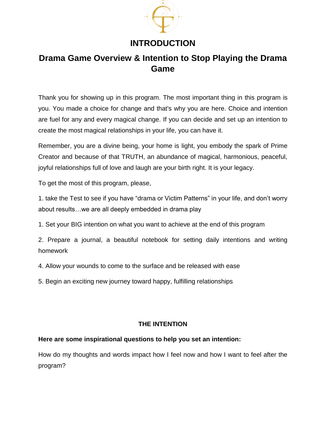

## **INTRODUCTION**

## **Drama Game Overview & Intention to Stop Playing the Drama Game**

Thank you for showing up in this program. The most important thing in this program is you. You made a choice for change and that's why you are here. Choice and intention are fuel for any and every magical change. If you can decide and set up an intention to create the most magical relationships in your life, you can have it.

Remember, you are a divine being, your home is light, you embody the spark of Prime Creator and because of that TRUTH, an abundance of magical, harmonious, peaceful, joyful relationships full of love and laugh are your birth right. It is your legacy.

To get the most of this program, please,

1. take the Test to see if you have "drama or Victim Patterns" in your life, and don't worry about results…we are all deeply embedded in drama play

1. Set your BIG intention on what you want to achieve at the end of this program

2. Prepare a journal, a beautiful notebook for setting daily intentions and writing homework

4. Allow your wounds to come to the surface and be released with ease

5. Begin an exciting new journey toward happy, fulfilling relationships

#### **THE INTENTION**

#### **Here are some inspirational questions to help you set an intention:**

How do my thoughts and words impact how I feel now and how I want to feel after the program?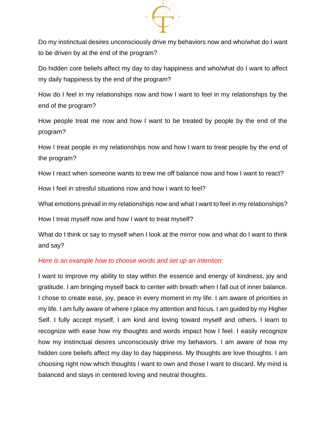

Do my instinctual desires unconsciously drive my behaviors now and who/what do I want to be driven by at the end of the program?

Do hidden core beliefs affect my day to day happiness and who/what do I want to affect my daily happiness by the end of the program?

How do I feel in my relationships now and how I want to feel in my relationships by the end of the program?

How people treat me now and how I want to be treated by people by the end of the program?

How I treat people in my relationships now and how I want to treat people by the end of the program?

How I react when someone wants to trew me off balance now and how I want to react?

How I feel in stresful situations now and how I want to feel?

What emotions prevail in my relationships now and what I want to feel in my relationships?

How I treat myself now and how I want to treat myself?

What do I think or say to myself when I look at the mirror now and what do I want to think and say?

#### *Here is an example how to choose words and set up an intention:*

I want to improve my ability to stay within the essence and energy of kindness, joy and gratitude. I am bringing myself back to center with breath when I fall out of inner balance. I chose to create ease, joy, peace in every moment in my life. I am aware of priorities in my life. I am fully aware of where I place my attention and focus. I am guided by my Higher Self. I fully accept myself, I am kind and loving toward myself and others. I learn to recognize with ease how my thoughts and words impact how I feel. I easily recognize how my instinctual desires unconsciously drive my behaviors. I am aware of how my hidden core beliefs affect my day to day happiness. My thoughts are love thoughts. I am choosing right now which thoughts I want to own and those I want to discard. My mind is balanced and stays in centered loving and neutral thoughts.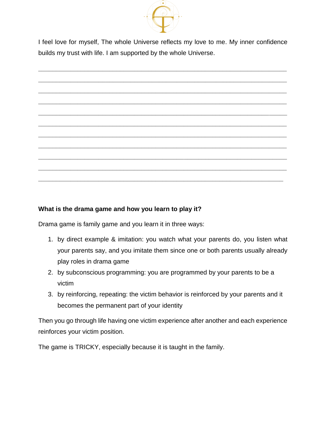

I feel [love for myself, The whole Universe reflects my love to me.](http://ascensionglossary.com/index.php/Law_of_One) My inner confidence [builds my](http://ascensionglossary.com/index.php/Trust,_Building_Trust) trust with life. I am supported by the whole Universe.



#### **What is the drama game and how you learn to play it?**

Drama game is family game and you learn it in three ways:

- 1. by direct example & imitation: you watch what your parents do, you listen what your parents say, and you imitate them since one or both parents usually already play roles in drama game
- 2. by subconscious programming: you are programmed by your parents to be a victim
- 3. by reinforcing, repeating: the victim behavior is reinforced by your parents and it becomes the permanent part of your identity

Then you go through life having one victim experience after another and each experience reinforces your victim position.

The game is TRICKY, especially because it is taught in the family.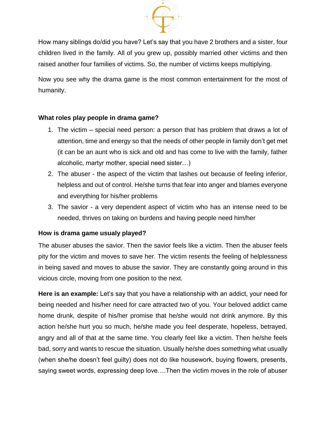

How many siblings do/did you have? Let's say that you have 2 brothers and a sister, four children lived in the family. All of you grew up, possibly married other victims and then raised another four families of victims. So, the number of victims keeps multiplying.

Now you see why the drama game is the most common entertainment for the most of humanity.

#### **What roles play people in drama game?**

- 1. The victim special need person: a person that has problem that draws a lot of attention, time and energy so that the needs of other people in family don't get met (it can be an aunt who is sick and old and has come to live with the family, father alcoholic, martyr mother, special need sister…)
- 2. The abuser the aspect of the victim that lashes out because of feeling inferior, helpless and out of control. He/she turns that fear into anger and blames everyone and everything for his/her problems
- 3. The savior a very dependent aspect of victim who has an intense need to be needed, thrives on taking on burdens and having people need him/her

#### **How is drama game usualy played?**

The abuser abuses the savior. Then the savior feels like a victim. Then the abuser feels pity for the victim and moves to save her. The victim resents the feeling of helplessness in being saved and moves to abuse the savior. They are constantly going around in this vicious circle, moving from one position to the next.

**Here is an example:** Let's say that you have a relationship with an addict, your need for being needed and his/her need for care attracted two of you. Your beloved addict came home drunk, despite of his/her promise that he/she would not drink anymore. By this action he/she hurt you so much, he/she made you feel desperate, hopeless, betrayed, angry and all of that at the same time. You clearly feel like a victim. Then he/she feels bad, sorry and wants to rescue the situation. Usually he/she does something what usually (when she/he doesn't feel guilty) does not do like housework, buying flowers, presents, saying sweet words, expressing deep love….Then the victim moves in the role of abuser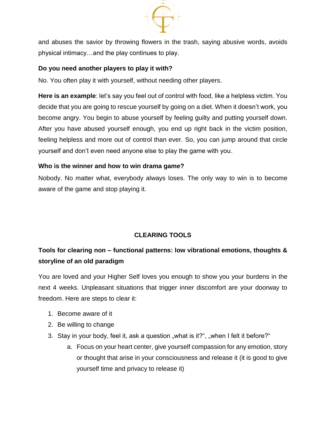

and abuses the savior by throwing flowers in the trash, saying abusive words, avoids physical intimacy…and the play continues to play.

#### **Do you need another players to play it with?**

No. You often play it with yourself, without needing other players.

**Here is an example**: let's say you feel out of control with food, like a helpless victim. You decide that you are going to rescue yourself by going on a diet. When it doesn't work, you become angry. You begin to abuse yourself by feeling guilty and putting yourself down. After you have abused yourself enough, you end up right back in the victim position, feeling helpless and more out of control than ever. So, you can jump around that circle yourself and don't even need anyone else to play the game with you.

#### **Who is the winner and how to win drama game?**

Nobody. No matter what, everybody always loses. The only way to win is to become aware of the game and stop playing it.

#### **CLEARING TOOLS**

### **Tools for clearing non – functional patterns: low vibrational emotions, thoughts & storyline of an old paradigm**

You are loved and your Higher Self loves you enough to show you your burdens in the next 4 weeks. Unpleasant situations that trigger inner discomfort are your doorway to freedom. Here are steps to clear it:

- 1. Become aware of it
- 2. Be willing to change
- 3. Stay in your body, feel it, ask a question "what is it?", "when I felt it before?"
	- a. Focus on your heart center, give yourself compassion for any emotion, story or thought that arise in your consciousness and release it (it is good to give yourself time and privacy to release it)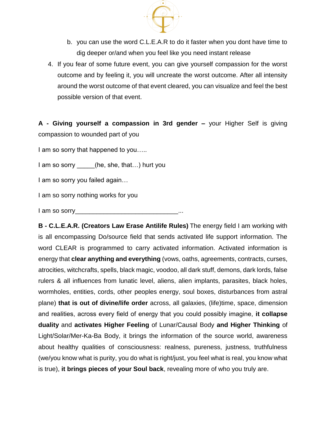

- b. you can use the word C.L.E.A.R to do it faster when you dont have time to dig deeper or/and when you feel like you need instant release
- 4. If you fear of some future event, you can give yourself compassion for the worst outcome and by feeling it, you will uncreate the worst outcome. After all intensity around the worst outcome of that event cleared, you can visualize and feel the best possible version of that event.

**A - Giving yourself a compassion in 3rd gender –** your Higher Self is giving compassion to wounded part of you

I am so sorry that happened to you.....

I am so sorry \_\_\_\_\_(he, she, that...) hurt you

I am so sorry you failed again…

I am so sorry nothing works for you

I am so sorry

**B - C.L.E.A.R. (Creators Law Erase Antilife Rules)** The energy field I am working with is all encompassing Do/source field that sends activated life support information. The word CLEAR is programmed to carry activated information. Activated information is energy that **clear anything and everything** (vows, oaths, agreements, contracts, curses, atrocities, witchcrafts, spells, black magic, voodoo, all dark stuff, demons, dark lords, false rulers & all influences from lunatic level, aliens, alien implants, parasites, black holes, wormholes, entities, cords, other peoples energy, soul boxes, disturbances from astral plane) **that is out of divine/life order** across, all galaxies, (life)time, space, dimension and realities, across every field of energy that you could possibly imagine, **it collapse duality** and **activates Higher Feeling** of Lunar/Causal Body **and Higher Thinking** of Light/Solar/Mer-Ka-Ba Body, it brings the information of the source world, awareness about healthy qualities of consciousness: realness, pureness, justness, truthfulness (we/you know what is purity, you do what is right/just, you feel what is real, you know what is true), **it brings pieces of your Soul back**, revealing more of who you truly are.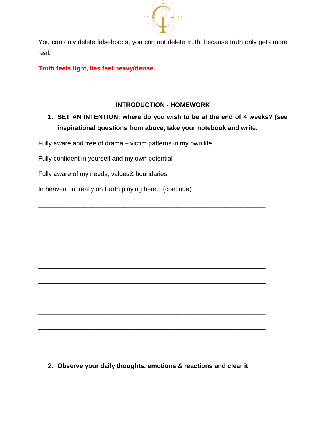

You can only delete falsehoods, you can not delete truth, because truth only gets more real.

**Truth feels light, lies feel heavy/dense.**

#### **INTRODUCTION - HOMEWORK**

\_\_\_\_\_\_\_\_\_\_\_\_\_\_\_\_\_\_\_\_\_\_\_\_\_\_\_\_\_\_\_\_\_\_\_\_\_\_\_\_\_\_\_\_\_\_\_\_\_\_\_\_\_\_\_\_\_\_\_\_\_\_\_\_

\_\_\_\_\_\_\_\_\_\_\_\_\_\_\_\_\_\_\_\_\_\_\_\_\_\_\_\_\_\_\_\_\_\_\_\_\_\_\_\_\_\_\_\_\_\_\_\_\_\_\_\_\_\_\_\_\_\_\_\_\_\_\_\_

\_\_\_\_\_\_\_\_\_\_\_\_\_\_\_\_\_\_\_\_\_\_\_\_\_\_\_\_\_\_\_\_\_\_\_\_\_\_\_\_\_\_\_\_\_\_\_\_\_\_\_\_\_\_\_\_\_\_\_\_\_\_\_\_

\_\_\_\_\_\_\_\_\_\_\_\_\_\_\_\_\_\_\_\_\_\_\_\_\_\_\_\_\_\_\_\_\_\_\_\_\_\_\_\_\_\_\_\_\_\_\_\_\_\_\_\_\_\_\_\_\_\_\_\_\_\_\_\_

\_\_\_\_\_\_\_\_\_\_\_\_\_\_\_\_\_\_\_\_\_\_\_\_\_\_\_\_\_\_\_\_\_\_\_\_\_\_\_\_\_\_\_\_\_\_\_\_\_\_\_\_\_\_\_\_\_\_\_\_\_\_\_\_

\_\_\_\_\_\_\_\_\_\_\_\_\_\_\_\_\_\_\_\_\_\_\_\_\_\_\_\_\_\_\_\_\_\_\_\_\_\_\_\_\_\_\_\_\_\_\_\_\_\_\_\_\_\_\_\_\_\_\_\_\_\_\_\_

\_\_\_\_\_\_\_\_\_\_\_\_\_\_\_\_\_\_\_\_\_\_\_\_\_\_\_\_\_\_\_\_\_\_\_\_\_\_\_\_\_\_\_\_\_\_\_\_\_\_\_\_\_\_\_\_\_\_\_\_\_\_\_\_

\_\_\_\_\_\_\_\_\_\_\_\_\_\_\_\_\_\_\_\_\_\_\_\_\_\_\_\_\_\_\_\_\_\_\_\_\_\_\_\_\_\_\_\_\_\_\_\_\_\_\_\_\_\_\_\_\_\_\_\_\_\_\_\_

\_\_\_\_\_\_\_\_\_\_\_\_\_\_\_\_\_\_\_\_\_\_\_\_\_\_\_\_\_\_\_\_\_\_\_\_\_\_\_\_\_\_\_\_\_\_\_\_\_\_\_\_\_\_\_\_\_\_\_\_\_\_\_\_

### **1. SET AN INTENTION: where do you wish to be at the end of 4 weeks? (see inspirational questions from above, take your notebook and write.**

Fully aware and free of drama – victim patterns in my own life

Fully confident in yourself and my own potential

Fully aware of my needs, values& boundaries

In heaven but really on Earth playing here…(continue)

2. **Observe your daily thoughts, emotions & reactions and clear it**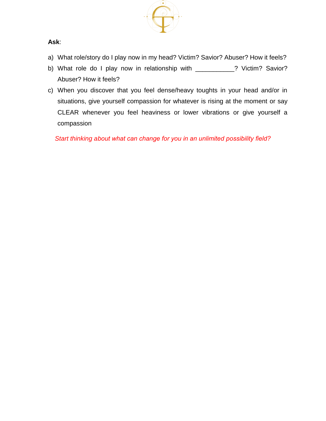

#### **Ask**:

- a) What role/story do I play now in my head? Victim? Savior? Abuser? How it feels?
- b) What role do I play now in relationship with \_\_\_\_\_\_\_\_\_\_? Victim? Savior? Abuser? How it feels?
- c) When you discover that you feel dense/heavy toughts in your head and/or in situations, give yourself compassion for whatever is rising at the moment or say CLEAR whenever you feel heaviness or lower vibrations or give yourself a compassion

*Start thinking about what can change for you in an unlimited possibility field?*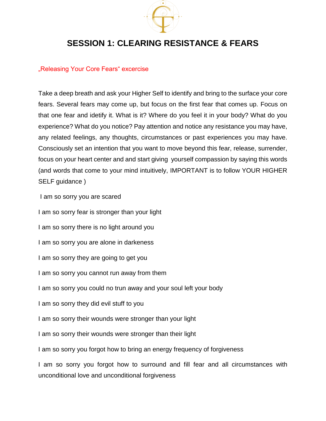

## **SESSION 1: CLEARING RESISTANCE & FEARS**

#### "Releasing Your Core Fears" excercise

Take a deep breath and ask your Higher Self to identify and bring to the surface your core fears. Several fears may come up, but focus on the first fear that comes up. Focus on that one fear and idetify it. What is it? Where do you feel it in your body? What do you experience? What do you notice? Pay attention and notice any resistance you may have, any related feelings, any thoughts, circumstances or past experiences you may have. Consciously set an intention that you want to move beyond this fear, release, surrender, focus on your heart center and and start giving yourself compassion by saying this words (and words that come to your mind intuitively, IMPORTANT is to follow YOUR HIGHER SELF guidance )

I am so sorry you are scared

I am so sorry fear is stronger than your light

I am so sorry there is no light around you

I am so sorry you are alone in darkeness

I am so sorry they are going to get you

I am so sorry you cannot run away from them

I am so sorry you could no trun away and your soul left your body

I am so sorry they did evil stuff to you

I am so sorry their wounds were stronger than your light

I am so sorry their wounds were stronger than their light

I am so sorry you forgot how to bring an energy frequency of forgiveness

I am so sorry you forgot how to surround and fill fear and all circumstances with unconditional love and unconditional forgiveness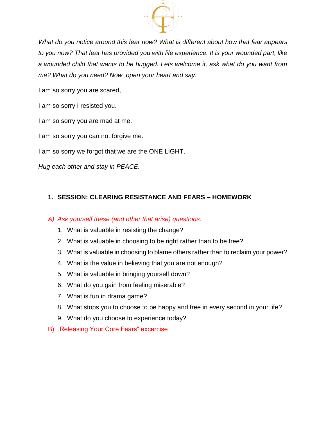

*What do you notice around this fear now? What is different about how that fear appears to you now? That fear has provided you with life experience. It is your wounded part, like a wounded child that wants to be hugged. Lets welcome it, ask what do you want from me? What do you need? Now, open your heart and say:*

I am so sorry you are scared,

I am so sorry I resisted you.

I am so sorry you are mad at me.

I am so sorry you can not forgive me.

I am so sorry we forgot that we are the ONE LIGHT.

*Hug each other and stay in PEACE.*

#### **1. SESSION: CLEARING RESISTANCE AND FEARS – HOMEWORK**

#### *A) Ask yourself these (and other that arise) questions:*

- 1. What is valuable in resisting the change?
- 2. What is valuable in choosing to be right rather than to be free?
- 3. What is valuable in choosing to blame others rather than to reclaim your power?
- 4. What is the value in believing that you are not enough?
- 5. What is valuable in bringing yourself down?
- 6. What do you gain from feeling miserable?
- 7. What is fun in drama game?
- 8. What stops you to choose to be happy and free in every second in your life?
- 9. What do you choose to experience today?
- B) "Releasing Your Core Fears" excercise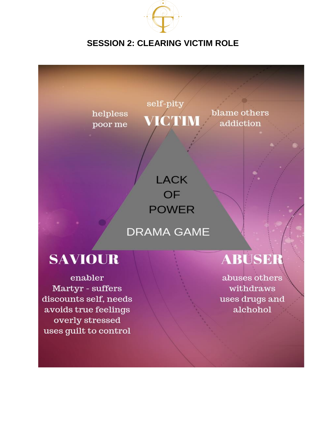

# **SESSION 2: CLEARING VICTIM ROLE**



discounts self, needs avoids true feelings overly stressed uses guilt to control

uses drugs and alchohol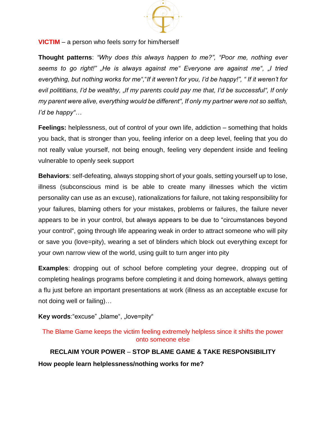

#### **VICTIM** – a person who feels sorry for him/herself

**Thought patterns**: *"Why does this always happen to me?", "Poor me, nothing ever seems to go right!" "He is always against me" Everyone are against me", "I tried everything, but nothing works for me",*"*If it weren't for you, I'd be happy!", " If it weren't for*  evil polititians, I'd be wealthy, "If my parents could pay me that, I'd be successful", If only *my parent were alive, everything would be different", If only my partner were not so selfish, I'd be happy"…*

**Feelings:** helplessness, out of control of your own life, addiction – something that holds you back, that is stronger than you, feeling inferior on a deep level, feeling that you do not really value yourself, not being enough, feeling very dependent inside and feeling vulnerable to openly seek support

**Behaviors**: self-defeating, always stopping short of your goals, setting yourself up to lose, illness (subconscious mind is be able to create many illnesses which the victim personality can use as an excuse), rationalizations for failure, not taking responsibility for your failures, blaming others for your mistakes, problems or failures, the failure never appears to be in your control, but always appears to be due to "circumstances beyond your control", going through life appearing weak in order to attract someone who will pity or save you (love=pity), wearing a set of blinders which block out everything except for your own narrow view of the world, using guilt to turn anger into pity

**Examples**: dropping out of school before completing your degree, dropping out of completing healings programs before completing it and doing homework, always getting a flu just before an important presentations at work (illness as an acceptable excuse for not doing well or failing)…

#### **Key words:**"excuse" "blame", "love=pity"

The Blame Game keeps the victim feeling extremely helpless since it shifts the power onto someone else

**RECLAIM YOUR POWER** – **STOP BLAME GAME & TAKE RESPONSIBILITY How people learn helplessness/nothing works for me?**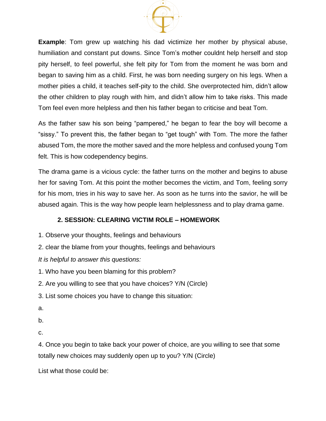

**Example**: Tom grew up watching his dad victimize her mother by physical abuse, humiliation and constant put downs. Since Tom's mother couldnt help herself and stop pity herself, to feel powerful, she felt pity for Tom from the moment he was born and began to saving him as a child. First, he was born needing surgery on his legs. When a mother pities a child, it teaches self-pity to the child. She overprotected him, didn't allow the other children to play rough with him, and didn't allow him to take risks. This made Tom feel even more helpless and then his father began to criticise and beat Tom.

As the father saw his son being "pampered," he began to fear the boy will become a "sissy." To prevent this, the father began to "get tough" with Tom. The more the father abused Tom, the more the mother saved and the more helpless and confused young Tom felt. This is how codependency begins.

The drama game is a vicious cycle: the father turns on the mother and begins to abuse her for saving Tom. At this point the mother becomes the victim, and Tom, feeling sorry for his mom, tries in his way to save her. As soon as he turns into the savior, he will be abused again. This is the way how people learn helplessness and to play drama game.

#### **2. SESSION: CLEARING VICTIM ROLE – HOMEWORK**

- 1. Observe your thoughts, feelings and behaviours
- 2. clear the blame from your thoughts, feelings and behaviours

*It is helpful to answer this questions:*

1. Who have you been blaming for this problem?

- 2. Are you willing to see that you have choices? Y/N (Circle)
- 3. List some choices you have to change this situation:
- a.
- b.
- c.

4. Once you begin to take back your power of choice, are you willing to see that some totally new choices may suddenly open up to you? Y/N (Circle)

List what those could be: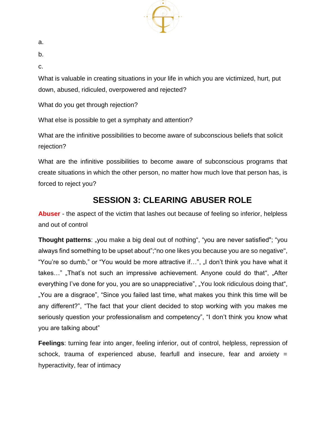

a.

b.

c.

What is valuable in creating situations in your life in which you are victimized, hurt, put down, abused, ridiculed, overpowered and rejected?

What do you get through rejection?

What else is possible to get a symphaty and attention?

What are the infinitive possibilities to become aware of subconscious beliefs that solicit rejection?

What are the infinitive possibilities to become aware of subconscious programs that create situations in which the other person, no matter how much love that person has, is forced to reject you?

# **SESSION 3: CLEARING ABUSER ROLE**

**Abuser** - the aspect of the victim that lashes out because of feeling so inferior, helpless and out of control

**Thought patterns**: "you make a big deal out of nothing", "you are never satisfied"; "you always find something to be upset about";"no one likes you because you are so negative", "You're so dumb," or "You would be more attractive if...", "I don't think you have what it takes..." "That's not such an impressive achievement. Anyone could do that", "After everything I've done for you, you are so unappreciative", "You look ridiculous doing that", "You are a disgrace", "Since you failed last time, what makes you think this time will be any different?", "The fact that your client decided to stop working with you makes me seriously question your professionalism and competency", "I don't think you know what you are talking about"

**Feelings**: turning fear into anger, feeling inferior, out of control, helpless, repression of schock, trauma of experienced abuse, fearfull and insecure, fear and anxiety = hyperactivity, fear of intimacy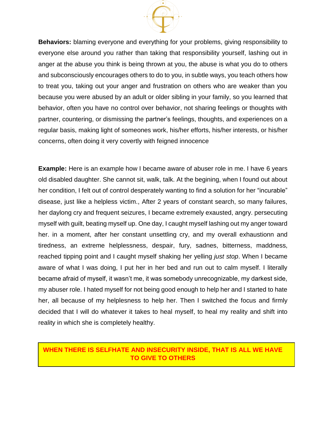

**Behaviors:** blaming everyone and everything for your problems, giving responsibility to everyone else around you rather than taking that responsibility yourself, lashing out in anger at the abuse you think is being thrown at you, the abuse is what you do to others and subconsciously encourages others to do to you, in subtle ways, you teach others how to treat you, taking out your anger and frustration on others who are weaker than you because you were abused by an adult or older sibling in your family, so you learned that behavior, often you have no control over behavior, not sharing feelings or thoughts with partner, countering, or dismissing the partner's feelings, thoughts, and experiences on a regular basis, making light of someones work, his/her efforts, his/her interests, or his/her concerns, often doing it very covertly with feigned innocence

**Example:** Here is an example how I became aware of abuser role in me. I have 6 years old disabled daughter. She cannot sit, walk, talk. At the begining, when I found out about her condition, I felt out of control desperately wanting to find a solution for her "incurable" disease, just like a helpless victim., After 2 years of constant search, so many failures, her daylong cry and frequent seizures, I became extremely exausted, angry. persecuting myself with guilt, beating myself up. One day, I caught myself lashing out my anger toward her. in a moment, after her constant unsettling cry, and my overall exhaustionn and tiredness, an extreme helplessness, despair, fury, sadnes, bitterness, maddness, reached tipping point and I caught myself shaking her yelling *just stop*. When I became aware of what I was doing, I put her in her bed and run out to calm myself. I literally became afraid of myself, it wasn't me, it was somebody unrecognizable, my darkest side, my abuser role. I hated myself for not being good enough to help her and I started to hate her, all because of my helplesness to help her. Then I switched the focus and firmly decided that I will do whatever it takes to heal myself, to heal my reality and shift into reality in which she is completely healthy.

### **WHEN THERE IS SELFHATE AND INSECURITY INSIDE, THAT IS ALL WE HAVE TO GIVE TO OTHERS**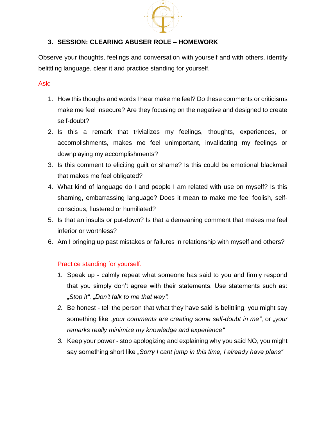

#### **3. SESSION: CLEARING ABUSER ROLE – HOMEWORK**

Observe your thoughts, feelings and conversation with yourself and with others, identify belittling language, clear it and practice standing for yourself.

#### Ask:

- 1. How this thoughs and words I hear make me feel? Do these comments or criticisms make me feel insecure? Are they focusing on the negative and designed to create self-doubt?
- 2. Is this a remark that trivializes my feelings, thoughts, experiences, or accomplishments, makes me feel unimportant, invalidating my feelings or downplaying my accomplishments?
- 3. Is this comment to eliciting guilt or shame? Is this could be emotional blackmail that makes me feel obligated?
- 4. What kind of language do I and people I am related with use on myself? Is this shaming, embarrassing language? Does it mean to make me feel foolish, selfconscious, flustered or humiliated?
- 5. Is that an insults or put-down? Is that a demeaning comment that makes me feel inferior or worthless?
- 6. Am I bringing up past mistakes or failures in relationship with myself and others?

#### Practice standing for yourself.

- *1.* Speak up calmly repeat what someone has said to you and firmly respond that you simply don't agree with their statements. Use statements such as: "*Stop it". "Don't talk to me that way".*
- *2.* Be honest tell the person that what they have said is belittling. you might say something like "*your comments are creating some self-doubt in me"*, or "*your remarks really minimize my knowledge and experience"*
- *3.* Keep your power stop apologizing and explaining why you said NO, you might say something short like "*Sorry I cant jump in this time, I already have plans"*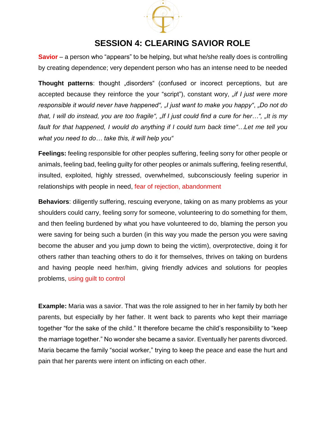

### **SESSION 4: CLEARING SAVIOR ROLE**

**Savior** – a person who "appears" to be helping, but what he/she really does is controlling by creating dependence; very dependent person who has an intense need to be needed

**Thought patterns**: thought "disorders" (confused or incorect perceptions, but are accepted because they reinforce the your "script"), constant wory, "if I just were more *responsible it would never have happened", "I just want to make you happy"*, *"Do not do that, I will do instead, you are too fragile", "If I just could find a cure for her…", "It is my fault for that happened, I would do anything if I could turn back time"…Let me tell you what you need to do… take this, it will help you"*

**Feelings:** feeling responsible for other peoples suffering, feeling sorry for other people or animals, feeling bad, feeling guilty for other peoples or animals suffering, feeling resentful, insulted, exploited, highly stressed, overwhelmed, subconsciously feeling superior in relationships with people in need, fear of rejection, abandonment

**Behaviors**: diligently suffering, rescuing everyone, taking on as many problems as your shoulders could carry, feeling sorry for someone, volunteering to do something for them, and then feeling burdened by what you have volunteered to do, blaming the person you were saving for being such a burden (in this way you made the person you were saving become the abuser and you jump down to being the victim), overprotective, doing it for others rather than teaching others to do it for themselves, thrives on taking on burdens and having people need her/him, giving friendly advices and solutions for peoples problems, using guilt to control

**Example:** Maria was a savior. That was the role assigned to her in her family by both her parents, but especially by her father. It went back to parents who kept their marriage together "for the sake of the child." It therefore became the child's responsibility to "keep the marriage together." No wonder she became a savior. Eventually her parents divorced. Maria became the family "social worker," trying to keep the peace and ease the hurt and pain that her parents were intent on inflicting on each other.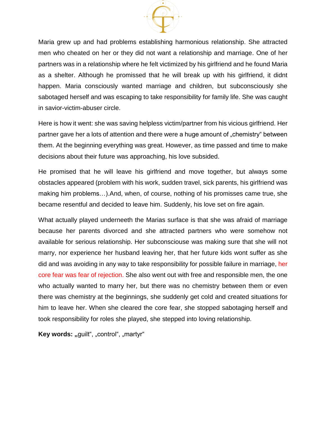

Maria grew up and had problems establishing harmonious relationship. She attracted men who cheated on her or they did not want a relationship and marriage. One of her partners was in a relationship where he felt victimized by his girlfriend and he found Maria as a shelter. Although he promissed that he will break up with his girlfriend, it didnt happen. Maria consciously wanted marriage and children, but subconsciously she sabotaged herself and was escaping to take responsibility for family life. She was caught in savior-victim-abuser circle.

Here is how it went: she was saving helpless victim/partner from his vicious girlfriend. Her partner gave her a lots of attention and there were a huge amount of "chemistry" between them. At the beginning everything was great. However, as time passed and time to make decisions about their future was approaching, his love subsided.

He promised that he will leave his girlfriend and move together, but always some obstacles appeared (problem with his work, sudden travel, sick parents, his girlfriend was making him problems…).And, when, of course, nothing of his promisses came true, she became resentful and decided to leave him. Suddenly, his love set on fire again.

What actually played underneeth the Marias surface is that she was afraid of marriage because her parents divorced and she attracted partners who were somehow not available for serious relationship. Her subconsciouse was making sure that she will not marry, nor experience her husband leaving her, that her future kids wont suffer as she did and was avoiding in any way to take responsibility for possible failure in marriage, her core fear was fear of rejection. She also went out with free and responsible men, the one who actually wanted to marry her, but there was no chemistry between them or even there was chemistry at the beginnings, she suddenly get cold and created situations for him to leave her. When she cleared the core fear, she stopped sabotaging herself and took responsibility for roles she played, she stepped into loving relationship.

Key words: "guilt", "control", "martyr"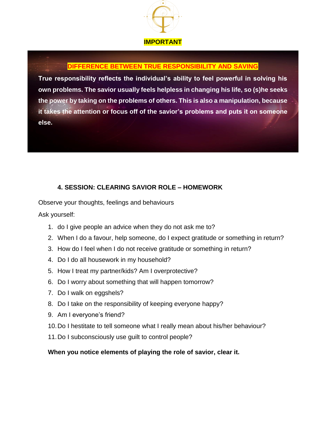

#### **DIFFERENCE BETWEEN TRUE RESPONSIBILITY AND SAVING**

**True responsibility reflects the individual's ability to feel powerful in solving his own problems. The savior usually feels helpless in changing his life, so (s)he seeks the power by taking on the problems of others. This is also a manipulation, because it takes the attention or focus off of the savior's problems and puts it on someone else.**

#### **4. SESSION: CLEARING SAVIOR ROLE – HOMEWORK**

Observe your thoughts, feelings and behaviours

Ask yourself:

- 1. do I give people an advice when they do not ask me to?
- 2. When I do a favour, help someone, do I expect gratitude or something in return?
- 3. How do I feel when I do not receive gratitude or something in return?
- 4. Do I do all housework in my household?
- 5. How I treat my partner/kids? Am I overprotective?
- 6. Do I worry about something that will happen tomorrow?
- 7. Do I walk on eggshels?
- 8. Do I take on the responsibility of keeping everyone happy?
- 9. Am I everyone's friend?
- 10.Do I hestitate to tell someone what I really mean about his/her behaviour?
- 11.Do I subconsciously use guilt to control people?

#### **When you notice elements of playing the role of savior, clear it.**